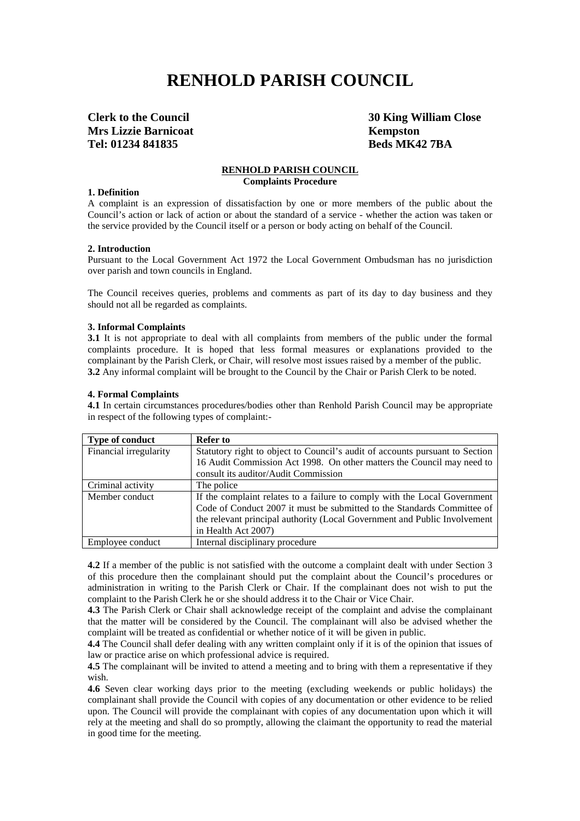# **RENHOLD PARISH COUNCIL**

**Mrs Lizzie Barnicoat** Kempston **Tel: 01234 841835 Beds MK42 7BA**

**Clerk to the Council 30 King William Close**

# **RENHOLD PARISH COUNCIL**

**Complaints Procedure**

#### **1. Definition**

A complaint is an expression of dissatisfaction by one or more members of the public about the Council's action or lack of action or about the standard of a service - whether the action was taken or the service provided by the Council itself or a person or body acting on behalf of the Council.

#### **2. Introduction**

Pursuant to the Local Government Act 1972 the Local Government Ombudsman has no jurisdiction over parish and town councils in England.

The Council receives queries, problems and comments as part of its day to day business and they should not all be regarded as complaints.

#### **3. Informal Complaints**

**3.1** It is not appropriate to deal with all complaints from members of the public under the formal complaints procedure. It is hoped that less formal measures or explanations provided to the complainant by the Parish Clerk, or Chair, will resolve most issues raised by a member of the public. **3.2** Any informal complaint will be brought to the Council by the Chair or Parish Clerk to be noted.

#### **4. Formal Complaints**

**4.1** In certain circumstances procedures/bodies other than Renhold Parish Council may be appropriate in respect of the following types of complaint:-

| <b>Type of conduct</b> | <b>Refer to</b>                                                              |
|------------------------|------------------------------------------------------------------------------|
| Financial irregularity | Statutory right to object to Council's audit of accounts pursuant to Section |
|                        | 16 Audit Commission Act 1998. On other matters the Council may need to       |
|                        | consult its auditor/Audit Commission                                         |
| Criminal activity      | The police                                                                   |
| Member conduct         | If the complaint relates to a failure to comply with the Local Government    |
|                        | Code of Conduct 2007 it must be submitted to the Standards Committee of      |
|                        | the relevant principal authority (Local Government and Public Involvement    |
|                        | in Health Act 2007)                                                          |
| Employee conduct       | Internal disciplinary procedure                                              |

**4.2** If a member of the public is not satisfied with the outcome a complaint dealt with under Section 3 of this procedure then the complainant should put the complaint about the Council's procedures or administration in writing to the Parish Clerk or Chair. If the complainant does not wish to put the complaint to the Parish Clerk he or she should address it to the Chair or Vice Chair.

**4.3** The Parish Clerk or Chair shall acknowledge receipt of the complaint and advise the complainant that the matter will be considered by the Council. The complainant will also be advised whether the complaint will be treated as confidential or whether notice of it will be given in public.

**4.4** The Council shall defer dealing with any written complaint only if it is of the opinion that issues of law or practice arise on which professional advice is required.

**4.5** The complainant will be invited to attend a meeting and to bring with them a representative if they wish.

**4.6** Seven clear working days prior to the meeting (excluding weekends or public holidays) the complainant shall provide the Council with copies of any documentation or other evidence to be relied upon. The Council will provide the complainant with copies of any documentation upon which it will rely at the meeting and shall do so promptly, allowing the claimant the opportunity to read the material in good time for the meeting.